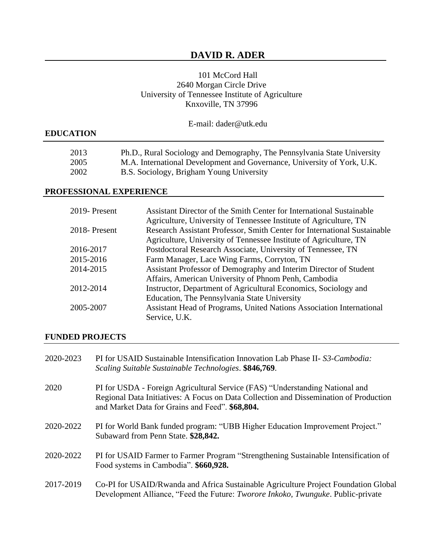# **DAVID R. ADER**

## 101 McCord Hall 2640 Morgan Circle Drive University of Tennessee Institute of Agriculture Knxoville, TN 37996

# **EDUCATION**

| 2013 | Ph.D., Rural Sociology and Demography, The Pennsylvania State University |
|------|--------------------------------------------------------------------------|
| 2005 | M.A. International Development and Governance, University of York, U.K.  |
| 2002 | B.S. Sociology, Brigham Young University                                 |

#### **PROFESSIONAL EXPERIENCE**

| 2019-Present | Assistant Director of the Smith Center for International Sustainable     |
|--------------|--------------------------------------------------------------------------|
|              | Agriculture, University of Tennessee Institute of Agriculture, TN        |
| 2018-Present | Research Assistant Professor, Smith Center for International Sustainable |
|              | Agriculture, University of Tennessee Institute of Agriculture, TN        |
| 2016-2017    | Postdoctoral Research Associate, University of Tennessee, TN             |
| 2015-2016    | Farm Manager, Lace Wing Farms, Corryton, TN                              |
| 2014-2015    | Assistant Professor of Demography and Interim Director of Student        |
|              | Affairs, American University of Phnom Penh, Cambodia                     |
| 2012-2014    | Instructor, Department of Agricultural Economics, Sociology and          |
|              | Education, The Pennsylvania State University                             |
| 2005-2007    | Assistant Head of Programs, United Nations Association International     |
|              | Service, U.K.                                                            |

#### **FUNDED PROJECTS**

| 2020-2023 | PI for USAID Sustainable Intensification Innovation Lab Phase II- S3-Cambodia:<br>Scaling Suitable Sustainable Technologies. \$846,769.                                                                                  |
|-----------|--------------------------------------------------------------------------------------------------------------------------------------------------------------------------------------------------------------------------|
| 2020      | PI for USDA - Foreign Agricultural Service (FAS) "Understanding National and<br>Regional Data Initiatives: A Focus on Data Collection and Dissemination of Production<br>and Market Data for Grains and Feed". \$68,804. |
| 2020-2022 | PI for World Bank funded program: "UBB Higher Education Improvement Project."<br>Subaward from Penn State. \$28,842.                                                                                                     |
| 2020-2022 | PI for USAID Farmer to Farmer Program "Strengthening Sustainable Intensification of<br>Food systems in Cambodia". \$660,928.                                                                                             |
| 2017-2019 | Co-PI for USAID/Rwanda and Africa Sustainable Agriculture Project Foundation Global<br>Development Alliance, "Feed the Future: <i>Tworore Inkoko, Twunguke</i> . Public-private                                          |